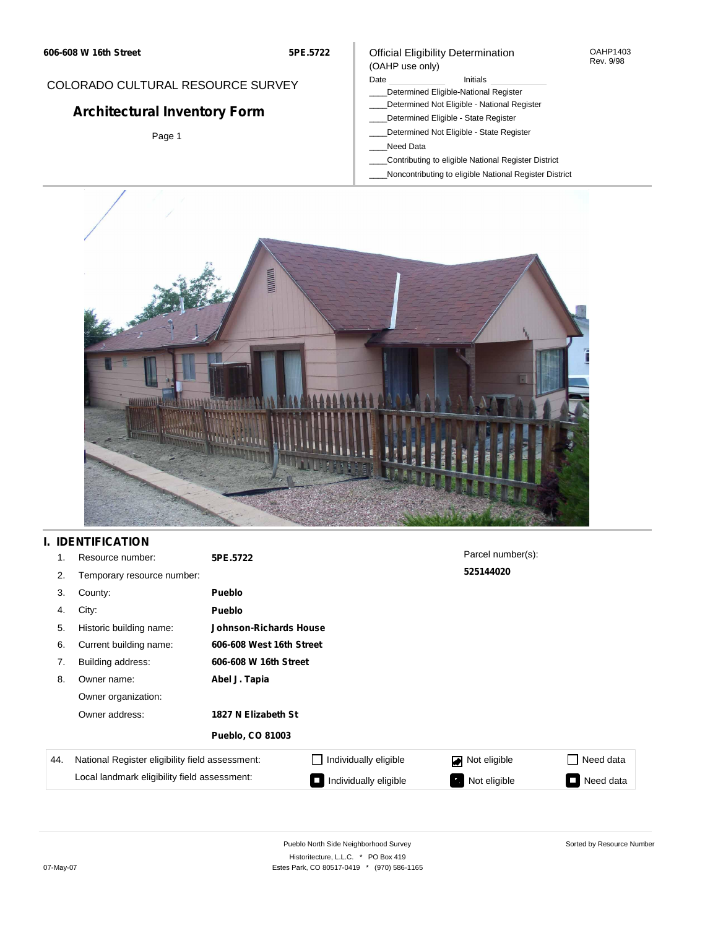**5PE.5722**

### COLORADO CULTURAL RESOURCE SURVEY

# **Architectural Inventory Form**

Page 1

#### Official Eligibility Determination (OAHP use only)

#### Date **Initials** Initials

- \_\_\_\_Determined Eligible-National Register
- \_\_\_\_Determined Not Eligible National Register
- \_\_\_\_Determined Eligible State Register
- \_\_\_\_Determined Not Eligible State Register
- \_\_\_\_Need Data
- \_\_\_\_Contributing to eligible National Register District
- \_\_\_\_Noncontributing to eligible National Register District

OAHP1403 Rev. 9/98



## **I. IDENTIFICATION**

| 1.  | Resource number:                                | 5PE.5722               |                          | Parcel number(s):              |           |  |  |  |
|-----|-------------------------------------------------|------------------------|--------------------------|--------------------------------|-----------|--|--|--|
| 2.  | Temporary resource number:                      |                        |                          | 525144020                      |           |  |  |  |
| 3.  | County:                                         | <b>Pueblo</b>          |                          |                                |           |  |  |  |
| 4.  | City:                                           | <b>Pueblo</b>          |                          |                                |           |  |  |  |
| 5.  | Historic building name:                         | Johnson-Richards House |                          |                                |           |  |  |  |
| 6.  | Current building name:                          |                        | 606-608 West 16th Street |                                |           |  |  |  |
| 7.  | Building address:                               | 606-608 W 16th Street  |                          |                                |           |  |  |  |
| 8.  | Owner name:                                     | Abel J. Tapia          |                          |                                |           |  |  |  |
|     | Owner organization:                             |                        |                          |                                |           |  |  |  |
|     | Owner address:                                  | 1827 N Elizabeth St    |                          |                                |           |  |  |  |
|     |                                                 | Pueblo, CO 81003       |                          |                                |           |  |  |  |
| 44. | National Register eligibility field assessment: |                        | Individually eligible    | Not eligible<br>$\blacksquare$ | Need data |  |  |  |
|     | Local landmark eligibility field assessment:    |                        | Individually eligible    | Not eligible                   | Need data |  |  |  |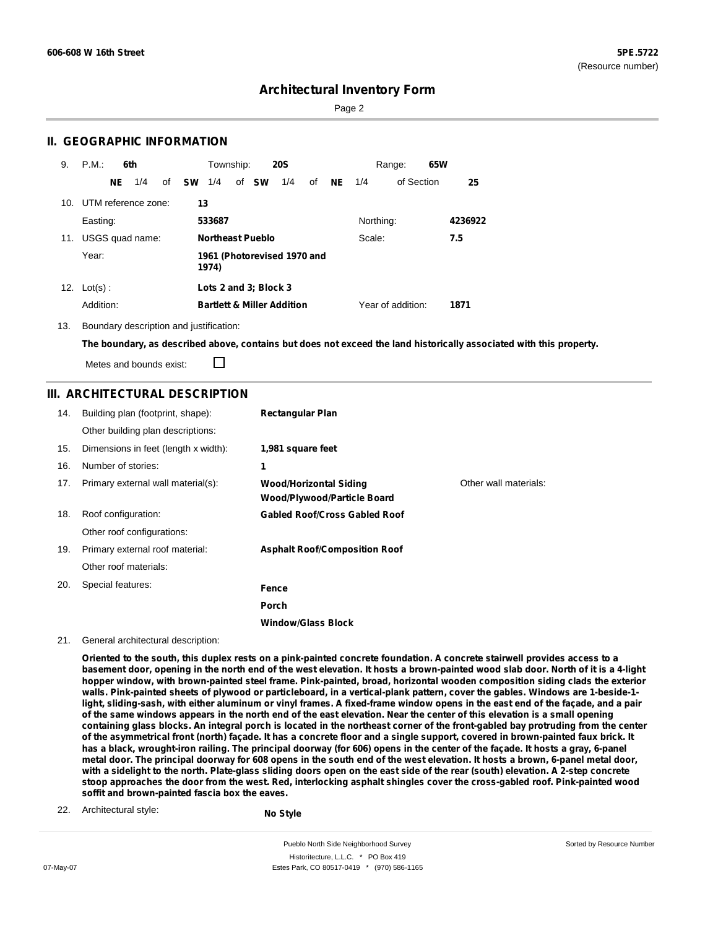Sorted by Resource Number

### **Architectural Inventory Form**

Page 2

### **II. GEOGRAPHIC INFORMATION**

| 9.  | P.M.                    | 6th |     |    |           | Township:                            |  |                         | <b>20S</b>                            |    |           |           | Range:            | 65W |         |
|-----|-------------------------|-----|-----|----|-----------|--------------------------------------|--|-------------------------|---------------------------------------|----|-----------|-----------|-------------------|-----|---------|
|     |                         | NE. | 1/4 | of | <b>SW</b> | 1/4                                  |  | of SW                   | 1/4                                   | of | <b>NE</b> | 1/4       | of Section        |     | 25      |
|     | 10. UTM reference zone: |     |     |    | 13        |                                      |  |                         |                                       |    |           |           |                   |     |         |
|     | Easting:                |     |     |    |           | 533687                               |  |                         |                                       |    |           | Northing: |                   |     | 4236922 |
| 11. | USGS quad name:         |     |     |    |           |                                      |  | <b>Northeast Pueblo</b> |                                       |    |           | Scale:    |                   |     | 7.5     |
|     | Year:                   |     |     |    |           | 1961 (Photorevised 1970 and<br>1974) |  |                         |                                       |    |           |           |                   |     |         |
|     | 12. $Lot(s)$ :          |     |     |    |           |                                      |  | Lots 2 and 3; Block 3   |                                       |    |           |           |                   |     |         |
|     | Addition:               |     |     |    |           |                                      |  |                         | <b>Bartlett &amp; Miller Addition</b> |    |           |           | Year of addition: |     | 1871    |

13. Boundary description and justification:

The boundary, as described above, contains but does not exceed the land historically associated with this property.

Metes and bounds exist:

П

#### **III. ARCHITECTURAL DESCRIPTION**

| 14. | Building plan (footprint, shape):<br>Other building plan descriptions: | <b>Rectangular Plan</b>                                      |                       |
|-----|------------------------------------------------------------------------|--------------------------------------------------------------|-----------------------|
| 15. | Dimensions in feet (length x width):                                   | 1,981 square feet                                            |                       |
| 16. | Number of stories:                                                     | 1                                                            |                       |
| 17. | Primary external wall material(s):                                     | <b>Wood/Horizontal Siding</b><br>Wood/Plywood/Particle Board | Other wall materials: |
| 18. | Roof configuration:                                                    | <b>Gabled Roof/Cross Gabled Roof</b>                         |                       |
|     | Other roof configurations:                                             |                                                              |                       |
| 19. | Primary external roof material:                                        | <b>Asphalt Roof/Composition Roof</b>                         |                       |
|     | Other roof materials:                                                  |                                                              |                       |
| 20. | Special features:                                                      | Fence                                                        |                       |
|     |                                                                        | Porch                                                        |                       |
|     |                                                                        | <b>Window/Glass Block</b>                                    |                       |

21. General architectural description:

Oriented to the south, this duplex rests on a pink-painted concrete foundation. A concrete stairwell provides access to a basement door, opening in the north end of the west elevation. It hosts a brown-painted wood slab door. North of it is a 4-light hopper window, with brown-painted steel frame. Pink-painted, broad, horizontal wooden composition siding clads the exterior walls. Pink-painted sheets of plywood or particleboard, in a vertical-plank pattern, cover the gables. Windows are 1-beside-1light, sliding-sash, with either aluminum or vinyl frames. A fixed-frame window opens in the east end of the façade, and a pair of the same windows appears in the north end of the east elevation. Near the center of this elevation is a small opening containing glass blocks. An integral porch is located in the northeast corner of the front-gabled bay protruding from the center of the asymmetrical front (north) façade. It has a concrete floor and a single support, covered in brown-painted faux brick. It has a black, wrought-iron railing. The principal doorway (for 606) opens in the center of the façade. It hosts a gray, 6-panel metal door. The principal doorway for 608 opens in the south end of the west elevation. It hosts a brown, 6-panel metal door, with a sidelight to the north. Plate-glass sliding doors open on the east side of the rear (south) elevation. A 2-step concrete stoop approaches the door from the west. Red, interlocking asphalt shingles cover the cross-gabled roof. Pink-painted wood **soffit and brown-painted fascia box the eaves.**

22. Architectural style: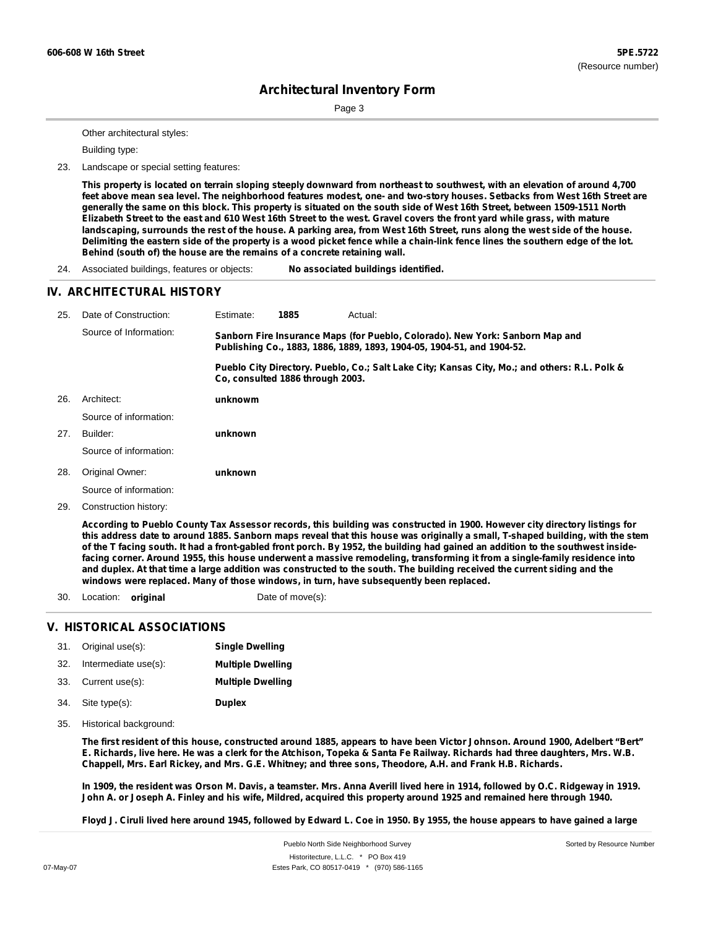Page 3

Other architectural styles:

Building type:

23. Landscape or special setting features:

This property is located on terrain sloping steeply downward from northeast to southwest, with an elevation of around 4,700 feet above mean sea level. The neighborhood features modest, one- and two-story houses. Setbacks from West 16th Street are generally the same on this block. This property is situated on the south side of West 16th Street, between 1509-1511 North Elizabeth Street to the east and 610 West 16th Street to the west. Gravel covers the front yard while grass, with mature landscaping, surrounds the rest of the house. A parking area, from West 16th Street, runs along the west side of the house. Delimiting the eastern side of the property is a wood picket fence while a chain-link fence lines the southern edge of the lot. **Behind (south of) the house are the remains of a concrete retaining wall.**

24. Associated buildings, features or objects: **No associated buildings identified.**

#### **IV. ARCHITECTURAL HISTORY**

| 25. | Date of Construction:  | Estimate:                                                                                                                                               | 1885                             | Actual:                                                                                       |  |
|-----|------------------------|---------------------------------------------------------------------------------------------------------------------------------------------------------|----------------------------------|-----------------------------------------------------------------------------------------------|--|
|     | Source of Information: | Sanborn Fire Insurance Maps (for Pueblo, Colorado). New York: Sanborn Map and<br>Publishing Co., 1883, 1886, 1889, 1893, 1904-05, 1904-51, and 1904-52. |                                  |                                                                                               |  |
|     |                        |                                                                                                                                                         | Co. consulted 1886 through 2003. | Pueblo City Directory. Pueblo, Co.; Salt Lake City; Kansas City, Mo.; and others: R.L. Polk & |  |
| 26. | Architect:             | unknowm                                                                                                                                                 |                                  |                                                                                               |  |
|     | Source of information: |                                                                                                                                                         |                                  |                                                                                               |  |
| 27. | Builder:               | unknown                                                                                                                                                 |                                  |                                                                                               |  |
|     | Source of information: |                                                                                                                                                         |                                  |                                                                                               |  |
| 28. | Original Owner:        | unknown                                                                                                                                                 |                                  |                                                                                               |  |
|     | Source of information: |                                                                                                                                                         |                                  |                                                                                               |  |
| 29. | Construction history:  |                                                                                                                                                         |                                  |                                                                                               |  |

According to Pueblo County Tax Assessor records, this building was constructed in 1900. However city directory listings for this address date to around 1885. Sanborn maps reveal that this house was originally a small, T-shaped building, with the stem of the T facing south. It had a front-gabled front porch. By 1952, the building had gained an addition to the southwest insidefacing corner. Around 1955, this house underwent a massive remodeling, transforming it from a single-family residence into and duplex. At that time a large addition was constructed to the south. The building received the current siding and the **windows were replaced. Many of those windows, in turn, have subsequently been replaced.**

30. Location: **original** Date of move(s):

#### **V. HISTORICAL ASSOCIATIONS**

|     | 31. Original use(s): | <b>Single Dwelling</b>   |
|-----|----------------------|--------------------------|
| 32. | Intermediate use(s): | <b>Multiple Dwelling</b> |
|     | 33. Current use(s):  | <b>Multiple Dwelling</b> |
|     | 34. Site type(s):    | <b>Duplex</b>            |

35. Historical background:

The first resident of this house, constructed around 1885, appears to have been Victor Johnson. Around 1900, Adelbert "Bert" E. Richards, live here. He was a clerk for the Atchison, Topeka & Santa Fe Railway. Richards had three daughters, Mrs. W.B. Chappell, Mrs. Earl Rickey, and Mrs. G.E. Whitney; and three sons, Theodore, A.H. and Frank H.B. Richards.

In 1909, the resident was Orson M. Davis, a teamster. Mrs. Anna Averill lived here in 1914, followed by O.C. Ridgeway in 1919. John A. or Joseph A. Finley and his wife, Mildred, acquired this property around 1925 and remained here through 1940.

Floyd J. Ciruli lived here around 1945, followed by Edward L. Coe in 1950. By 1955, the house appears to have gained a large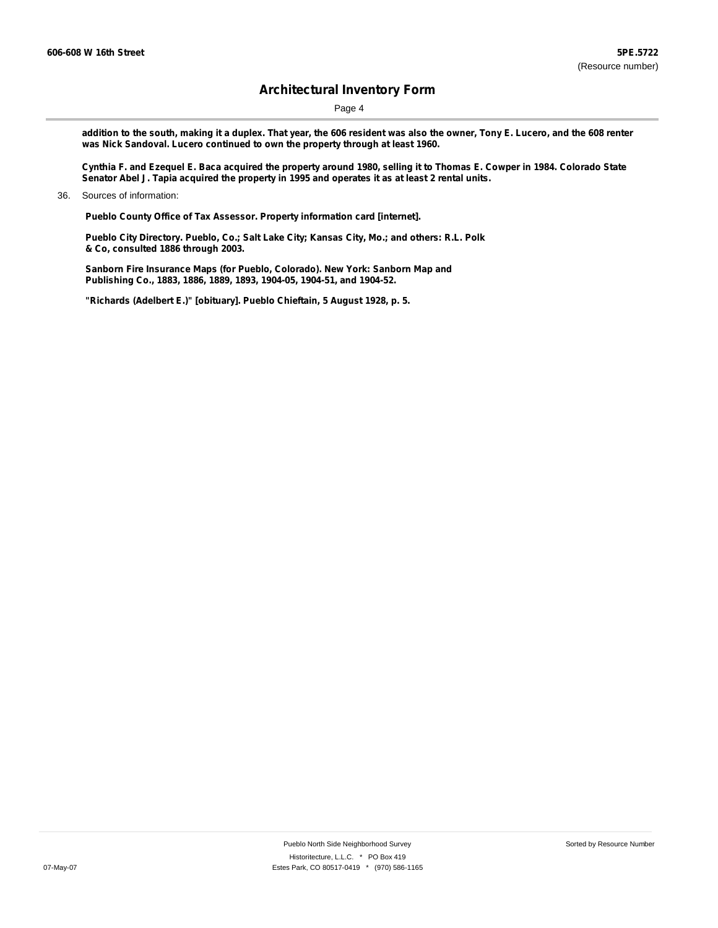Page 4

addition to the south, making it a duplex. That year, the 606 resident was also the owner, Tony E. Lucero, and the 608 renter **was Nick Sandoval. Lucero continued to own the property through at least 1960.**

Cynthia F. and Ezequel E. Baca acquired the property around 1980, selling it to Thomas E. Cowper in 1984. Colorado State **Senator Abel J. Tapia acquired the property in 1995 and operates it as at least 2 rental units.**

**Pueblo County Office of Tax Assessor. Property information card [internet].**

**Pueblo City Directory. Pueblo, Co.; Salt Lake City; Kansas City, Mo.; and others: R.L. Polk & Co, consulted 1886 through 2003.**

**Sanborn Fire Insurance Maps (for Pueblo, Colorado). New York: Sanborn Map and Publishing Co., 1883, 1886, 1889, 1893, 1904-05, 1904-51, and 1904-52.**

**"Richards (Adelbert E.)" [obituary]. Pueblo Chieftain, 5 August 1928, p. 5.**

<sup>36.</sup> Sources of information: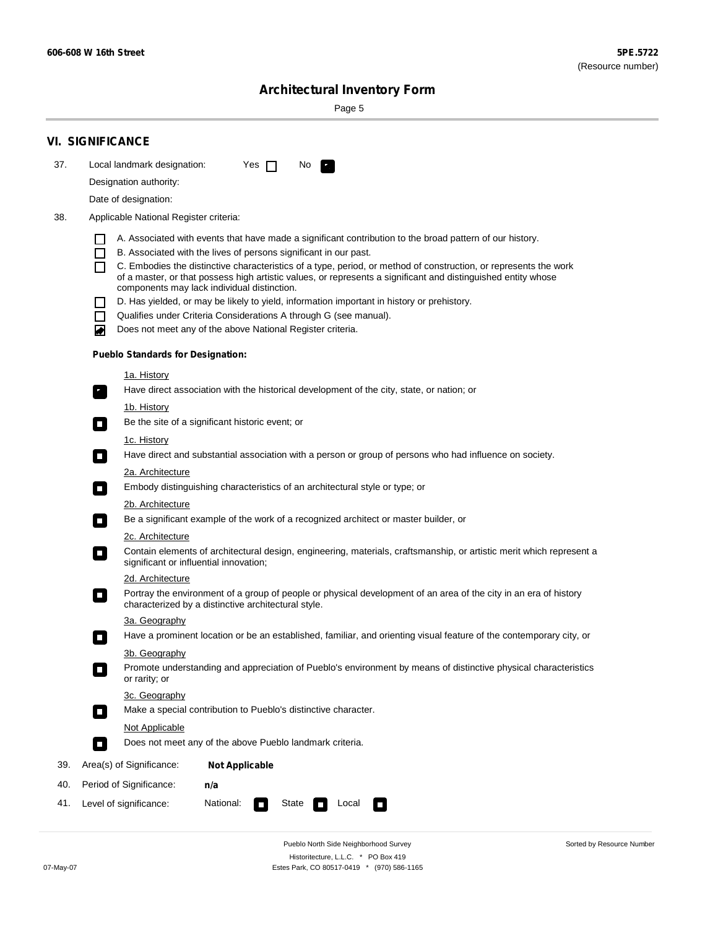÷

Sorted by Resource Number

# **Architectural Inventory Form**

Page 5

|     | <b>VI. SIGNIFICANCE</b>                                                                                                                                                           |  |  |  |  |  |  |
|-----|-----------------------------------------------------------------------------------------------------------------------------------------------------------------------------------|--|--|--|--|--|--|
| 37. | Local landmark designation:<br>Yes $\Box$<br>No.<br>$\mathcal{F}_{\perp}$                                                                                                         |  |  |  |  |  |  |
|     | Designation authority:                                                                                                                                                            |  |  |  |  |  |  |
|     | Date of designation:                                                                                                                                                              |  |  |  |  |  |  |
| 38. | Applicable National Register criteria:                                                                                                                                            |  |  |  |  |  |  |
|     |                                                                                                                                                                                   |  |  |  |  |  |  |
|     | A. Associated with events that have made a significant contribution to the broad pattern of our history.<br>B. Associated with the lives of persons significant in our past.      |  |  |  |  |  |  |
|     | $\Box$<br>C. Embodies the distinctive characteristics of a type, period, or method of construction, or represents the work                                                        |  |  |  |  |  |  |
|     | of a master, or that possess high artistic values, or represents a significant and distinguished entity whose                                                                     |  |  |  |  |  |  |
|     | components may lack individual distinction.<br>D. Has yielded, or may be likely to yield, information important in history or prehistory.                                         |  |  |  |  |  |  |
|     | Qualifies under Criteria Considerations A through G (see manual).<br>П                                                                                                            |  |  |  |  |  |  |
|     | Does not meet any of the above National Register criteria.<br>₩                                                                                                                   |  |  |  |  |  |  |
|     | <b>Pueblo Standards for Designation:</b>                                                                                                                                          |  |  |  |  |  |  |
|     | 1a. History                                                                                                                                                                       |  |  |  |  |  |  |
|     | Have direct association with the historical development of the city, state, or nation; or<br>$\overline{\gamma}$                                                                  |  |  |  |  |  |  |
|     | <u>1b. History</u>                                                                                                                                                                |  |  |  |  |  |  |
|     | Be the site of a significant historic event; or<br>$\blacksquare$                                                                                                                 |  |  |  |  |  |  |
|     | 1c. History                                                                                                                                                                       |  |  |  |  |  |  |
|     | Have direct and substantial association with a person or group of persons who had influence on society.<br>$\mathcal{L}_{\mathcal{A}}$                                            |  |  |  |  |  |  |
|     | <b>2a. Architecture</b>                                                                                                                                                           |  |  |  |  |  |  |
|     | Embody distinguishing characteristics of an architectural style or type; or<br>О                                                                                                  |  |  |  |  |  |  |
|     | <u>2b. Architecture</u>                                                                                                                                                           |  |  |  |  |  |  |
|     | Be a significant example of the work of a recognized architect or master builder, or<br>$\blacksquare$                                                                            |  |  |  |  |  |  |
|     | 2c. Architecture                                                                                                                                                                  |  |  |  |  |  |  |
|     | Contain elements of architectural design, engineering, materials, craftsmanship, or artistic merit which represent a<br>$\Box$<br>significant or influential innovation;          |  |  |  |  |  |  |
|     | 2d. Architecture                                                                                                                                                                  |  |  |  |  |  |  |
|     | Portray the environment of a group of people or physical development of an area of the city in an era of history<br>$\Box$<br>characterized by a distinctive architectural style. |  |  |  |  |  |  |
|     | 3a. Geography                                                                                                                                                                     |  |  |  |  |  |  |
|     | Have a prominent location or be an established, familiar, and orienting visual feature of the contemporary city, or                                                               |  |  |  |  |  |  |
|     | 3b. Geography                                                                                                                                                                     |  |  |  |  |  |  |
|     | Promote understanding and appreciation of Pueblo's environment by means of distinctive physical characteristics<br>or rarity; or                                                  |  |  |  |  |  |  |
|     | 3c. Geography                                                                                                                                                                     |  |  |  |  |  |  |
|     | Make a special contribution to Pueblo's distinctive character.<br>$\sim$                                                                                                          |  |  |  |  |  |  |
|     | Not Applicable                                                                                                                                                                    |  |  |  |  |  |  |
|     | Does not meet any of the above Pueblo landmark criteria.<br>$\Box$                                                                                                                |  |  |  |  |  |  |
| 39. | Area(s) of Significance:<br><b>Not Applicable</b>                                                                                                                                 |  |  |  |  |  |  |
| 40. | Period of Significance:<br>n/a                                                                                                                                                    |  |  |  |  |  |  |
| 41. | National:<br>Level of significance:<br>State<br>Local<br>$\sim$<br>П                                                                                                              |  |  |  |  |  |  |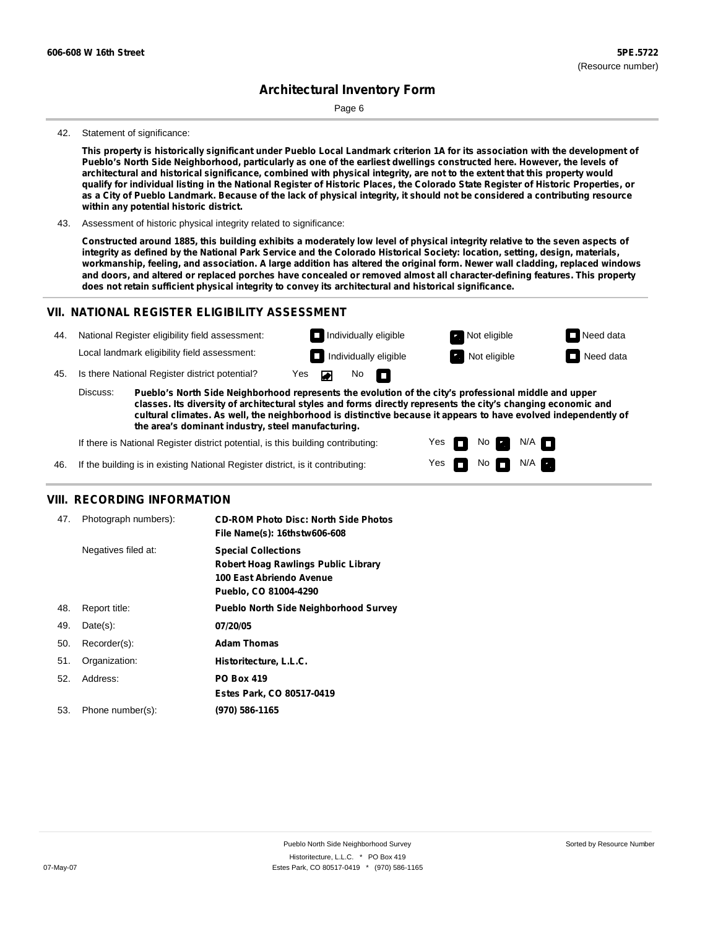Page 6

#### 42. Statement of significance:

This property is historically significant under Pueblo Local Landmark criterion 1A for its association with the development of Pueblo's North Side Neighborhood, particularly as one of the earliest dwellings constructed here. However, the levels of architectural and historical significance, combined with physical integrity, are not to the extent that this property would qualify for individual listing in the National Register of Historic Places, the Colorado State Register of Historic Properties, or as a City of Pueblo Landmark. Because of the lack of physical integrity, it should not be considered a contributing resource **within any potential historic district.**

43. Assessment of historic physical integrity related to significance:

Constructed around 1885, this building exhibits a moderately low level of physical integrity relative to the seven aspects of integrity as defined by the National Park Service and the Colorado Historical Society: location, setting, design, materials, workmanship, feeling, and association. A large addition has altered the original form. Newer wall cladding, replaced windows and doors, and altered or replaced porches have concealed or removed almost all character-defining features. This property **does not retain sufficient physical integrity to convey its architectural and historical significance.**

#### **VII. NATIONAL REGISTER ELIGIBILITY ASSESSMENT**



**classes. Its diversity of architectural styles and forms directly represents the city's changing economic and cultural climates. As well, the neighborhood is distinctive because it appears to have evolved independently of the area's dominant industry, steel manufacturing.**

> Yes Yes

No **D** 

 $\blacksquare$  No  $\blacksquare$  N/A  $\blacksquare$ 

 $N/A$ 

If there is National Register district potential, is this building contributing:

If the building is in existing National Register district, is it contributing: 46.

#### **VIII. RECORDING INFORMATION**

| 47. | Photograph numbers): | <b>CD-ROM Photo Disc: North Side Photos</b><br>File Name(s): 16thstw606-608                                                   |
|-----|----------------------|-------------------------------------------------------------------------------------------------------------------------------|
|     | Negatives filed at:  | <b>Special Collections</b><br><b>Robert Hoag Rawlings Public Library</b><br>100 East Abriendo Avenue<br>Pueblo, CO 81004-4290 |
| 48. | Report title:        | <b>Pueblo North Side Neighborhood Survey</b>                                                                                  |
| 49. | $Date(s)$ :          | 07/20/05                                                                                                                      |
| 50. | Recorder(s):         | <b>Adam Thomas</b>                                                                                                            |
| 51. | Organization:        | Historitecture, L.L.C.                                                                                                        |
| 52. | Address:             | <b>PO Box 419</b>                                                                                                             |
|     |                      | Estes Park, CO 80517-0419                                                                                                     |
| 53. | Phone number(s):     | (970) 586-1165                                                                                                                |
|     |                      |                                                                                                                               |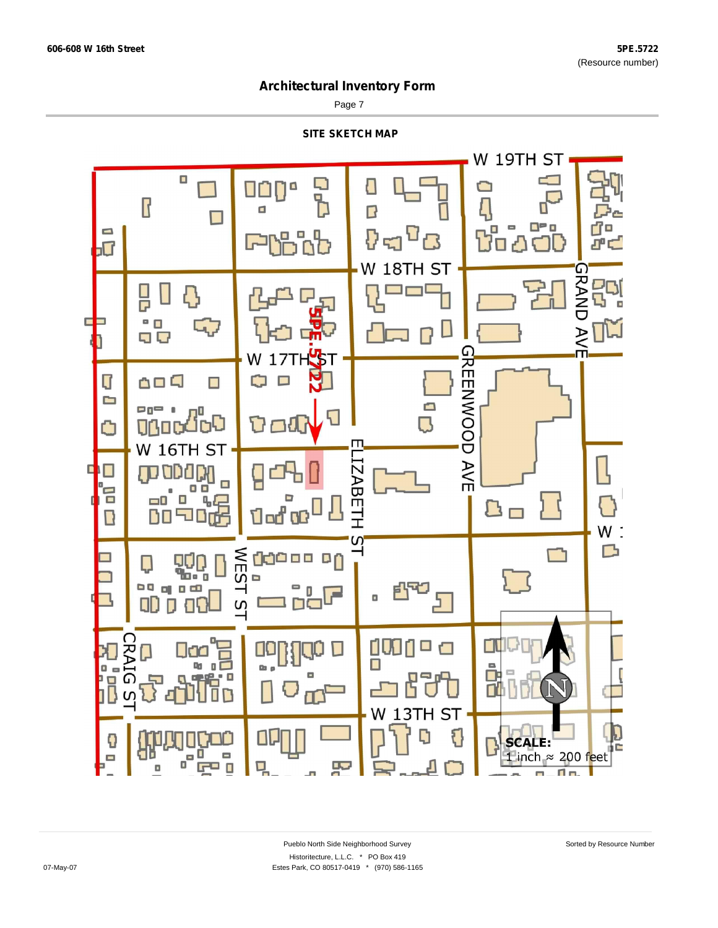Page 7